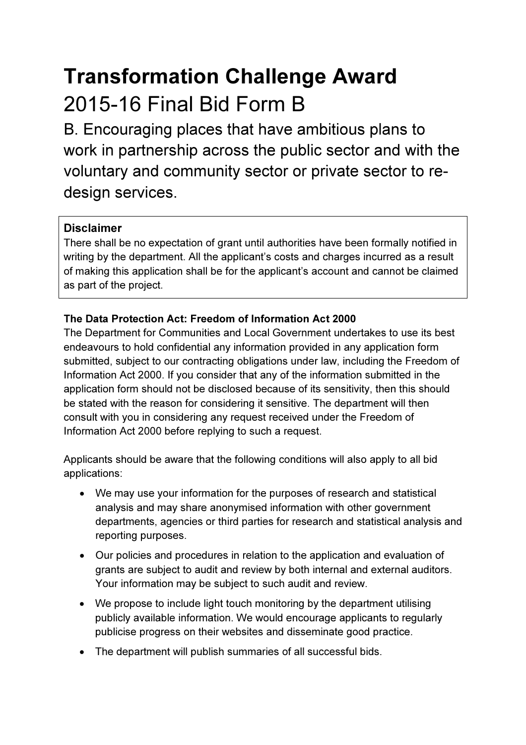# Transformation Challenge Award 2015-16 Final Bid Form B

B. Encouraging places that have ambitious plans to work in partnership across the public sector and with the voluntary and community sector or private sector to redesign services.

## Disclaimer

There shall be no expectation of grant until authorities have been formally notified in writing by the department. All the applicant's costs and charges incurred as a result of making this application shall be for the applicant's account and cannot be claimed as part of the project.

## The Data Protection Act: Freedom of Information Act 2000

The Department for Communities and Local Government undertakes to use its best endeavours to hold confidential any information provided in any application form submitted, subject to our contracting obligations under law, including the Freedom of Information Act 2000. If you consider that any of the information submitted in the application form should not be disclosed because of its sensitivity, then this should be stated with the reason for considering it sensitive. The department will then consult with you in considering any request received under the Freedom of Information Act 2000 before replying to such a request.

Applicants should be aware that the following conditions will also apply to all bid applications:

- We may use your information for the purposes of research and statistical analysis and may share anonymised information with other government departments, agencies or third parties for research and statistical analysis and reporting purposes.
- Our policies and procedures in relation to the application and evaluation of grants are subject to audit and review by both internal and external auditors. Your information may be subject to such audit and review.
- We propose to include light touch monitoring by the department utilising publicly available information. We would encourage applicants to regularly publicise progress on their websites and disseminate good practice.
- The department will publish summaries of all successful bids.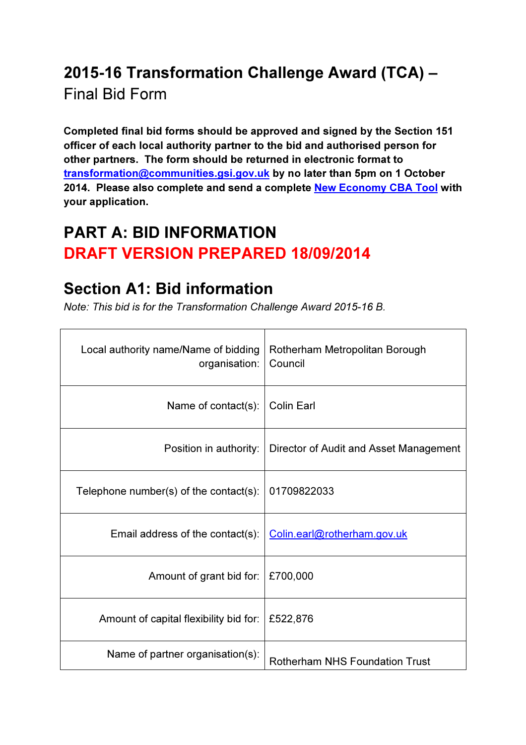## 2015-16 Transformation Challenge Award (TCA) –

Final Bid Form

Completed final bid forms should be approved and signed by the Section 151 officer of each local authority partner to the bid and authorised person for other partners. The form should be returned in electronic format to transformation@communities.gsi.gov.uk by no later than 5pm on 1 October 2014. Please also complete and send a complete New Economy CBA Tool with your application.

## PART A: BID INFORMATION DRAFT VERSION PREPARED 18/09/2014

## Section A1: Bid information

Note: This bid is for the Transformation Challenge Award 2015-16 B.

| Local authority name/Name of bidding<br>organisation: | Rotherham Metropolitan Borough<br>Council |
|-------------------------------------------------------|-------------------------------------------|
| Name of contact(s):                                   | <b>Colin Earl</b>                         |
| Position in authority:                                | Director of Audit and Asset Management    |
| Telephone number(s) of the contact(s):                | 01709822033                               |
| Email address of the contact(s):                      | Colin.earl@rotherham.gov.uk               |
| Amount of grant bid for:                              | £700,000                                  |
| Amount of capital flexibility bid for:                | £522,876                                  |
| Name of partner organisation(s):                      | <b>Rotherham NHS Foundation Trust</b>     |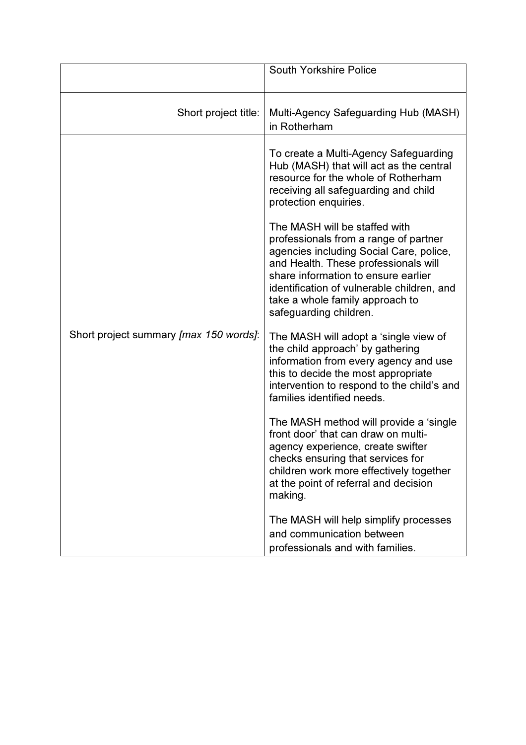|                                        | <b>South Yorkshire Police</b>                                                                                                                                                                                                                                                                               |
|----------------------------------------|-------------------------------------------------------------------------------------------------------------------------------------------------------------------------------------------------------------------------------------------------------------------------------------------------------------|
| Short project title:                   | Multi-Agency Safeguarding Hub (MASH)<br>in Rotherham                                                                                                                                                                                                                                                        |
|                                        | To create a Multi-Agency Safeguarding<br>Hub (MASH) that will act as the central<br>resource for the whole of Rotherham<br>receiving all safeguarding and child<br>protection enquiries.                                                                                                                    |
|                                        | The MASH will be staffed with<br>professionals from a range of partner<br>agencies including Social Care, police,<br>and Health. These professionals will<br>share information to ensure earlier<br>identification of vulnerable children, and<br>take a whole family approach to<br>safeguarding children. |
| Short project summary [max 150 words]: | The MASH will adopt a 'single view of<br>the child approach' by gathering<br>information from every agency and use<br>this to decide the most appropriate<br>intervention to respond to the child's and<br>families identified needs.                                                                       |
|                                        | The MASH method will provide a 'single<br>front door' that can draw on multi-<br>agency experience, create swifter<br>checks ensuring that services for<br>children work more effectively together<br>at the point of referral and decision<br>making.                                                      |
|                                        | The MASH will help simplify processes<br>and communication between<br>professionals and with families.                                                                                                                                                                                                      |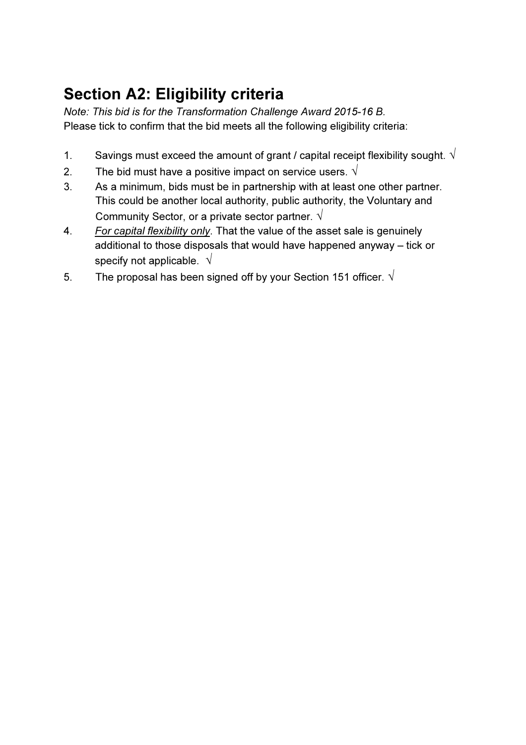## Section A2: Eligibility criteria

Note: This bid is for the Transformation Challenge Award 2015-16 B. Please tick to confirm that the bid meets all the following eligibility criteria:

- 1. Savings must exceed the amount of grant / capital receipt flexibility sought.  $\sqrt{ }$
- 2. The bid must have a positive impact on service users.  $\sqrt{ }$
- 3. As a minimum, bids must be in partnership with at least one other partner. This could be another local authority, public authority, the Voluntary and Community Sector, or a private sector partner.  $\sqrt{ }$
- 4. For capital flexibility only. That the value of the asset sale is genuinely additional to those disposals that would have happened anyway – tick or specify not applicable.  $\sqrt{ }$
- 5. The proposal has been signed off by your Section 151 officer.  $\sqrt{ }$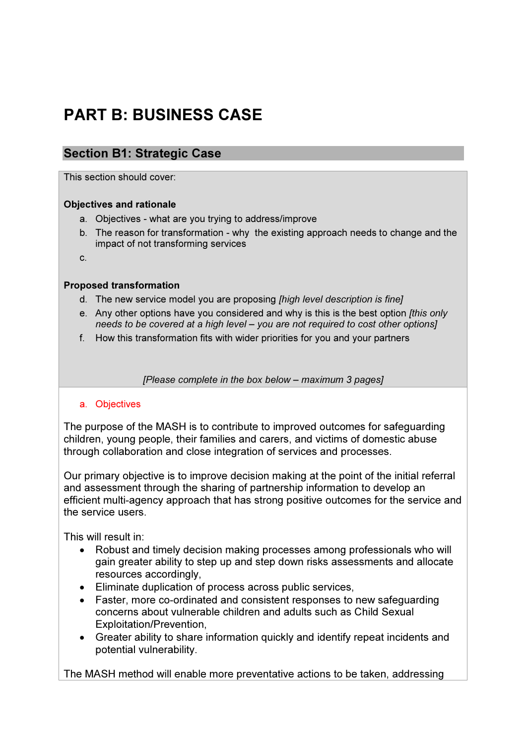## PART B: BUSINESS CASE

## Section B1: Strategic Case

This section should cover:

## Objectives and rationale

- a. Objectives what are you trying to address/improve
- b. The reason for transformation why the existing approach needs to change and the impact of not transforming services

c.

## Proposed transformation

- d. The new service model you are proposing [high level description is fine]
- e. Any other options have you considered and why is this is the best option *[this only* needs to be covered at a high level – you are not required to cost other options]
- f. How this transformation fits with wider priorities for you and your partners

[Please complete in the box below – maximum 3 pages]

### a. Objectives

The purpose of the MASH is to contribute to improved outcomes for safeguarding children, young people, their families and carers, and victims of domestic abuse through collaboration and close integration of services and processes.

Our primary objective is to improve decision making at the point of the initial referral and assessment through the sharing of partnership information to develop an efficient multi-agency approach that has strong positive outcomes for the service and the service users.

This will result in:

- Robust and timely decision making processes among professionals who will gain greater ability to step up and step down risks assessments and allocate resources accordingly,
- Eliminate duplication of process across public services,
- Faster, more co-ordinated and consistent responses to new safeguarding concerns about vulnerable children and adults such as Child Sexual Exploitation/Prevention,
- Greater ability to share information quickly and identify repeat incidents and potential vulnerability.

The MASH method will enable more preventative actions to be taken, addressing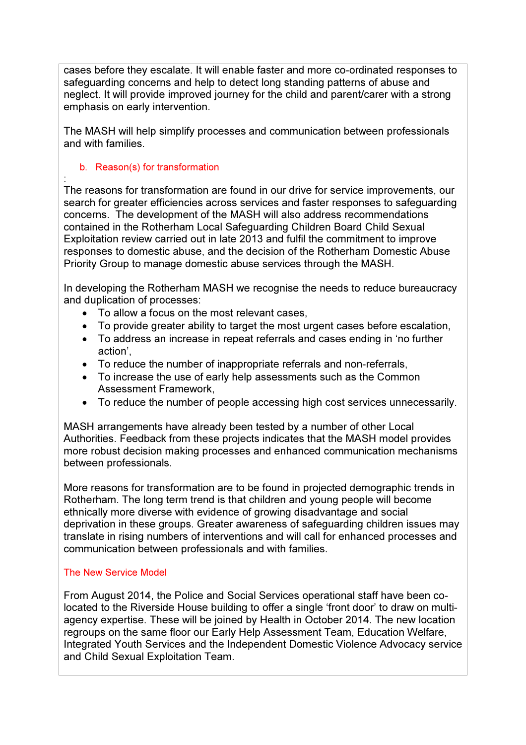cases before they escalate. It will enable faster and more co-ordinated responses to safeguarding concerns and help to detect long standing patterns of abuse and neglect. It will provide improved journey for the child and parent/carer with a strong emphasis on early intervention.

The MASH will help simplify processes and communication between professionals and with families.

## b. Reason(s) for transformation

: The reasons for transformation are found in our drive for service improvements, our search for greater efficiencies across services and faster responses to safeguarding concerns. The development of the MASH will also address recommendations contained in the Rotherham Local Safeguarding Children Board Child Sexual Exploitation review carried out in late 2013 and fulfil the commitment to improve responses to domestic abuse, and the decision of the Rotherham Domestic Abuse Priority Group to manage domestic abuse services through the MASH.

In developing the Rotherham MASH we recognise the needs to reduce bureaucracy and duplication of processes:

- To allow a focus on the most relevant cases,
- To provide greater ability to target the most urgent cases before escalation,
- To address an increase in repeat referrals and cases ending in 'no further action',
- To reduce the number of inappropriate referrals and non-referrals,
- To increase the use of early help assessments such as the Common Assessment Framework,
- To reduce the number of people accessing high cost services unnecessarily.

MASH arrangements have already been tested by a number of other Local Authorities. Feedback from these projects indicates that the MASH model provides more robust decision making processes and enhanced communication mechanisms between professionals.

More reasons for transformation are to be found in projected demographic trends in Rotherham. The long term trend is that children and young people will become ethnically more diverse with evidence of growing disadvantage and social deprivation in these groups. Greater awareness of safeguarding children issues may translate in rising numbers of interventions and will call for enhanced processes and communication between professionals and with families.

## The New Service Model

From August 2014, the Police and Social Services operational staff have been colocated to the Riverside House building to offer a single 'front door' to draw on multiagency expertise. These will be joined by Health in October 2014. The new location regroups on the same floor our Early Help Assessment Team, Education Welfare, Integrated Youth Services and the Independent Domestic Violence Advocacy service and Child Sexual Exploitation Team.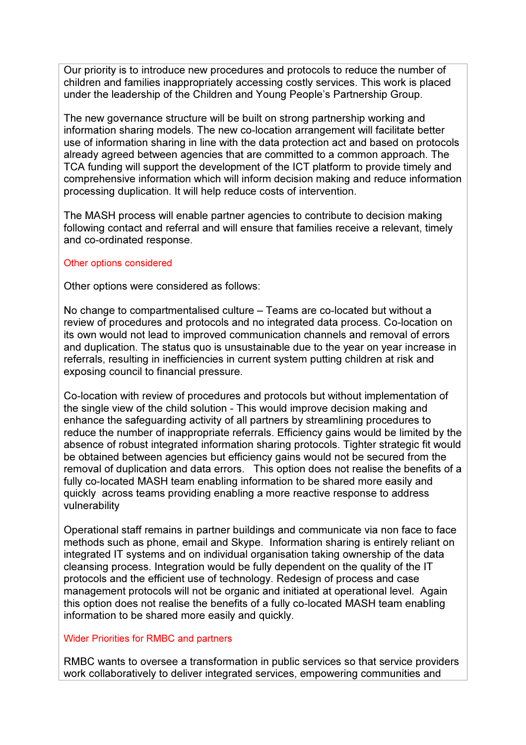Our priority is to introduce new procedures and protocols to reduce the number of children and families inappropriately accessing costly services. This work is placed under the leadership of the Children and Young People's Partnership Group.

The new governance structure will be built on strong partnership working and information sharing models. The new co-location arrangement will facilitate better use of information sharing in line with the data protection act and based on protocols already agreed between agencies that are committed to a common approach. The TCA funding will support the development of the ICT platform to provide timely and comprehensive information which will inform decision making and reduce information processing duplication. It will help reduce costs of intervention.

The MASH process will enable partner agencies to contribute to decision making following contact and referral and will ensure that families receive a relevant, timely and co-ordinated response.

### Other options considered

Other options were considered as follows:

No change to compartmentalised culture – Teams are co-located but without a review of procedures and protocols and no integrated data process. Co-location on its own would not lead to improved communication channels and removal of errors and duplication. The status quo is unsustainable due to the year on year increase in referrals, resulting in inefficiencies in current system putting children at risk and exposing council to financial pressure.

Co-location with review of procedures and protocols but without implementation of the single view of the child solution - This would improve decision making and enhance the safeguarding activity of all partners by streamlining procedures to reduce the number of inappropriate referrals. Efficiency gains would be limited by the absence of robust integrated information sharing protocols. Tighter strategic fit would be obtained between agencies but efficiency gains would not be secured from the removal of duplication and data errors. This option does not realise the benefits of a fully co-located MASH team enabling information to be shared more easily and quickly across teams providing enabling a more reactive response to address vulnerability

Operational staff remains in partner buildings and communicate via non face to face methods such as phone, email and Skype. Information sharing is entirely reliant on integrated IT systems and on individual organisation taking ownership of the data cleansing process. Integration would be fully dependent on the quality of the IT protocols and the efficient use of technology. Redesign of process and case management protocols will not be organic and initiated at operational level. Again this option does not realise the benefits of a fully co-located MASH team enabling information to be shared more easily and quickly.

## Wider Priorities for RMBC and partners

RMBC wants to oversee a transformation in public services so that service providers work collaboratively to deliver integrated services, empowering communities and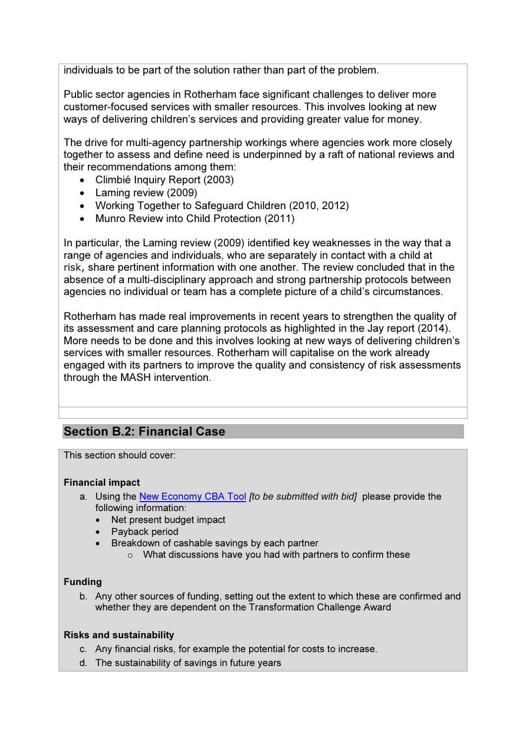individuals to be part of the solution rather than part of the problem.

Public sector agencies in Rotherham face significant challenges to deliver more customer-focused services with smaller resources. This involves looking at new ways of delivering children's services and providing greater value for money.

The drive for multi-agency partnership workings where agencies work more closely together to assess and define need is underpinned by a raft of national reviews and their recommendations among them:

- Climbié Inquiry Report (2003)
- Laming review (2009)
- Working Together to Safeguard Children (2010, 2012)
- Munro Review into Child Protection (2011)

In particular, the Laming review (2009) identified key weaknesses in the way that a range of agencies and individuals, who are separately in contact with a child at risk, share pertinent information with one another. The review concluded that in the absence of a multi-disciplinary approach and strong partnership protocols between agencies no individual or team has a complete picture of a child's circumstances.

Rotherham has made real improvements in recent years to strengthen the quality of its assessment and care planning protocols as highlighted in the Jay report (2014). More needs to be done and this involves looking at new ways of delivering children's services with smaller resources. Rotherham will capitalise on the work already engaged with its partners to improve the quality and consistency of risk assessments through the MASH intervention.

## Section B.2: Financial Case

This section should cover:

### Financial impact

- a. Using the New Economy CBA Tool *fto be submitted with bid* please provide the following information:
	- Net present budget impact
	- Payback period
	- Breakdown of cashable savings by each partner
		- o What discussions have you had with partners to confirm these

## Funding

b. Any other sources of funding, setting out the extent to which these are confirmed and whether they are dependent on the Transformation Challenge Award

## Risks and sustainability

- c. Any financial risks, for example the potential for costs to increase.
- d. The sustainability of savings in future years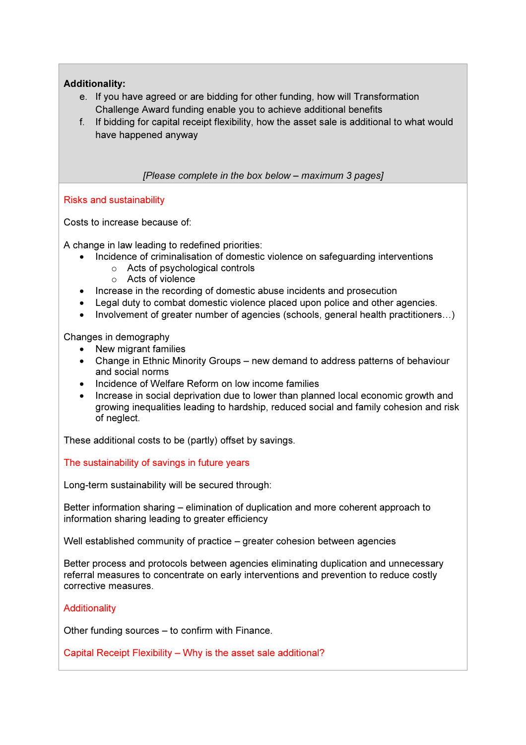## Additionality:

- e. If you have agreed or are bidding for other funding, how will Transformation Challenge Award funding enable you to achieve additional benefits
- f. If bidding for capital receipt flexibility, how the asset sale is additional to what would have happened anyway

### [Please complete in the box below – maximum 3 pages]

### Risks and sustainability

Costs to increase because of:

A change in law leading to redefined priorities:

- Incidence of criminalisation of domestic violence on safeguarding interventions
	- o Acts of psychological controls
	- o Acts of violence
- Increase in the recording of domestic abuse incidents and prosecution
- Legal duty to combat domestic violence placed upon police and other agencies.
- Involvement of greater number of agencies (schools, general health practitioners…)

Changes in demography

- New migrant families
- Change in Ethnic Minority Groups new demand to address patterns of behaviour and social norms
- Incidence of Welfare Reform on low income families
- Increase in social deprivation due to lower than planned local economic growth and growing inequalities leading to hardship, reduced social and family cohesion and risk of neglect.

These additional costs to be (partly) offset by savings.

The sustainability of savings in future years

Long-term sustainability will be secured through:

Better information sharing – elimination of duplication and more coherent approach to information sharing leading to greater efficiency

Well established community of practice – greater cohesion between agencies

Better process and protocols between agencies eliminating duplication and unnecessary referral measures to concentrate on early interventions and prevention to reduce costly corrective measures.

### **Additionality**

Other funding sources – to confirm with Finance.

Capital Receipt Flexibility – Why is the asset sale additional?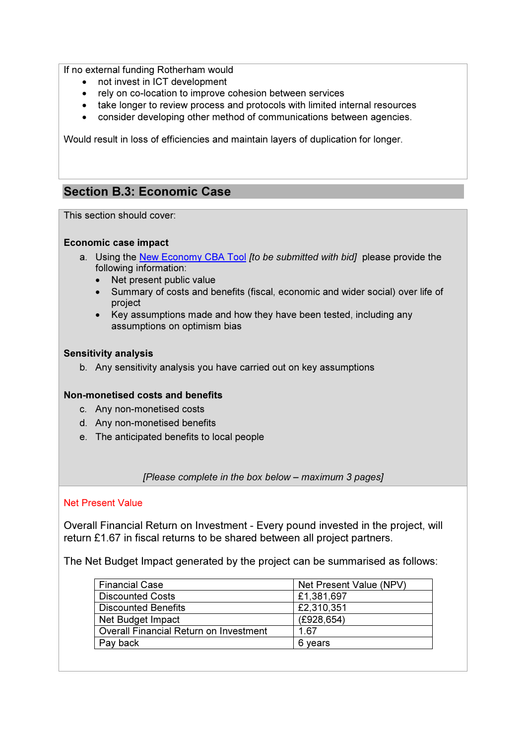If no external funding Rotherham would

- not invest in ICT development
- rely on co-location to improve cohesion between services
- take longer to review process and protocols with limited internal resources
- consider developing other method of communications between agencies.

Would result in loss of efficiencies and maintain layers of duplication for longer.

## Section B.3: Economic Case

This section should cover:

### Economic case impact

- a. Using the New Economy CBA Tool *Ito be submitted with bidl* please provide the following information:
	- Net present public value
	- Summary of costs and benefits (fiscal, economic and wider social) over life of project
	- Key assumptions made and how they have been tested, including any assumptions on optimism bias

### Sensitivity analysis

b. Any sensitivity analysis you have carried out on key assumptions

### Non-monetised costs and benefits

- c. Any non-monetised costs
- d. Any non-monetised benefits
- e. The anticipated benefits to local people

[Please complete in the box below – maximum 3 pages]

#### Net Present Value

Overall Financial Return on Investment - Every pound invested in the project, will return £1.67 in fiscal returns to be shared between all project partners.

The Net Budget Impact generated by the project can be summarised as follows:

| <b>Financial Case</b>                  | Net Present Value (NPV) |
|----------------------------------------|-------------------------|
| <b>Discounted Costs</b>                | £1,381,697              |
| <b>Discounted Benefits</b>             | £2,310,351              |
| Net Budget Impact                      | (E928, 654)             |
| Overall Financial Return on Investment | 1.67                    |
| Pay back                               | 6 vears                 |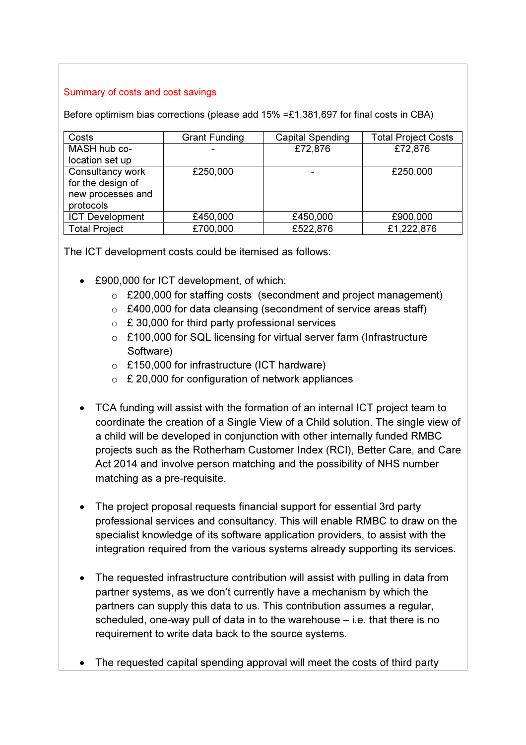## Summary of costs and cost savings

Before optimism bias corrections (please add 15% =£1,381,697 for final costs in CBA)

| Costs                  | <b>Grant Funding</b> | <b>Capital Spending</b> | <b>Total Project Costs</b> |
|------------------------|----------------------|-------------------------|----------------------------|
| MASH hub co-           |                      | £72,876                 | £72,876                    |
| location set up        |                      |                         |                            |
| Consultancy work       | £250,000             |                         | £250,000                   |
| for the design of      |                      |                         |                            |
| new processes and      |                      |                         |                            |
| protocols              |                      |                         |                            |
| <b>ICT Development</b> | £450,000             | £450,000                | £900,000                   |
| <b>Total Project</b>   | £700,000             | £522,876                | £1,222,876                 |

The ICT development costs could be itemised as follows:

- £900,000 for ICT development, of which:
	- o £200,000 for staffing costs (secondment and project management)
	- o £400,000 for data cleansing (secondment of service areas staff)
	- $\circ$  £ 30,000 for third party professional services
	- o £100,000 for SQL licensing for virtual server farm (Infrastructure Software)
	- o £150,000 for infrastructure (ICT hardware)
	- $\circ$  £ 20,000 for configuration of network appliances
- TCA funding will assist with the formation of an internal ICT project team to coordinate the creation of a Single View of a Child solution. The single view of a child will be developed in conjunction with other internally funded RMBC projects such as the Rotherham Customer Index (RCI), Better Care, and Care Act 2014 and involve person matching and the possibility of NHS number matching as a pre-requisite.
- The project proposal requests financial support for essential 3rd party professional services and consultancy. This will enable RMBC to draw on the specialist knowledge of its software application providers, to assist with the integration required from the various systems already supporting its services.
- The requested infrastructure contribution will assist with pulling in data from partner systems, as we don't currently have a mechanism by which the partners can supply this data to us. This contribution assumes a regular, scheduled, one-way pull of data in to the warehouse – i.e. that there is no requirement to write data back to the source systems.
- The requested capital spending approval will meet the costs of third party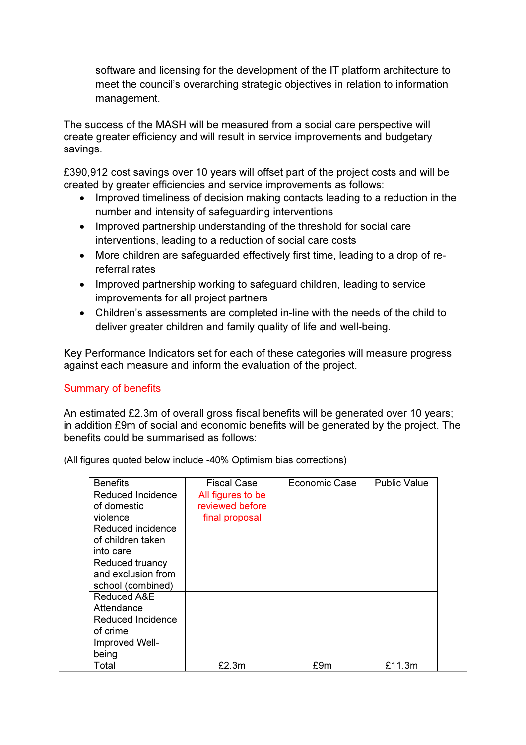software and licensing for the development of the IT platform architecture to meet the council's overarching strategic objectives in relation to information management.

The success of the MASH will be measured from a social care perspective will create greater efficiency and will result in service improvements and budgetary savings.

£390,912 cost savings over 10 years will offset part of the project costs and will be created by greater efficiencies and service improvements as follows:

- Improved timeliness of decision making contacts leading to a reduction in the number and intensity of safeguarding interventions
- Improved partnership understanding of the threshold for social care interventions, leading to a reduction of social care costs
- More children are safeguarded effectively first time, leading to a drop of rereferral rates
- Improved partnership working to safeguard children, leading to service improvements for all project partners
- Children's assessments are completed in-line with the needs of the child to deliver greater children and family quality of life and well-being.

Key Performance Indicators set for each of these categories will measure progress against each measure and inform the evaluation of the project.

## Summary of benefits

An estimated £2.3m of overall gross fiscal benefits will be generated over 10 years; in addition £9m of social and economic benefits will be generated by the project. The benefits could be summarised as follows:

| <b>Benefits</b>                        | <b>Fiscal Case</b> | Economic Case | <b>Public Value</b> |
|----------------------------------------|--------------------|---------------|---------------------|
| Reduced Incidence                      | All figures to be  |               |                     |
| of domestic                            | reviewed before    |               |                     |
| violence                               | final proposal     |               |                     |
| Reduced incidence<br>of children taken |                    |               |                     |
| into care                              |                    |               |                     |
| Reduced truancy                        |                    |               |                     |
| and exclusion from                     |                    |               |                     |
| school (combined)                      |                    |               |                     |
| Reduced A&E                            |                    |               |                     |
| Attendance                             |                    |               |                     |
| <b>Reduced Incidence</b>               |                    |               |                     |
| of crime                               |                    |               |                     |
| Improved Well-                         |                    |               |                     |
| being                                  |                    |               |                     |
| Total                                  | £2.3m              | £9m           | £11.3m              |

(All figures quoted below include -40% Optimism bias corrections)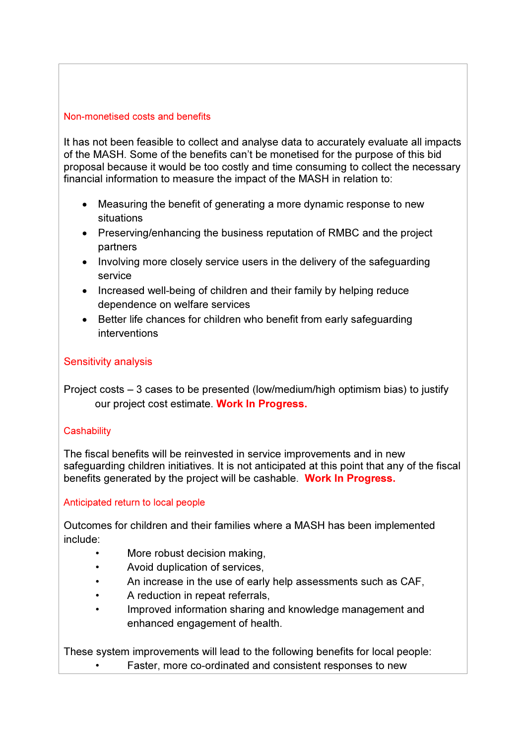## Non-monetised costs and benefits

It has not been feasible to collect and analyse data to accurately evaluate all impacts of the MASH. Some of the benefits can't be monetised for the purpose of this bid proposal because it would be too costly and time consuming to collect the necessary financial information to measure the impact of the MASH in relation to:

- Measuring the benefit of generating a more dynamic response to new situations
- Preserving/enhancing the business reputation of RMBC and the project partners
- Involving more closely service users in the delivery of the safeguarding service
- Increased well-being of children and their family by helping reduce dependence on welfare services
- Better life chances for children who benefit from early safeguarding interventions

## Sensitivity analysis

Project costs – 3 cases to be presented (low/medium/high optimism bias) to justify our project cost estimate. Work In Progress.

## **Cashability**

The fiscal benefits will be reinvested in service improvements and in new safeguarding children initiatives. It is not anticipated at this point that any of the fiscal benefits generated by the project will be cashable. Work In Progress.

## Anticipated return to local people

Outcomes for children and their families where a MASH has been implemented include:

- More robust decision making,
- Avoid duplication of services,
- An increase in the use of early help assessments such as CAF,
- A reduction in repeat referrals,
- Improved information sharing and knowledge management and enhanced engagement of health.

These system improvements will lead to the following benefits for local people: Faster, more co-ordinated and consistent responses to new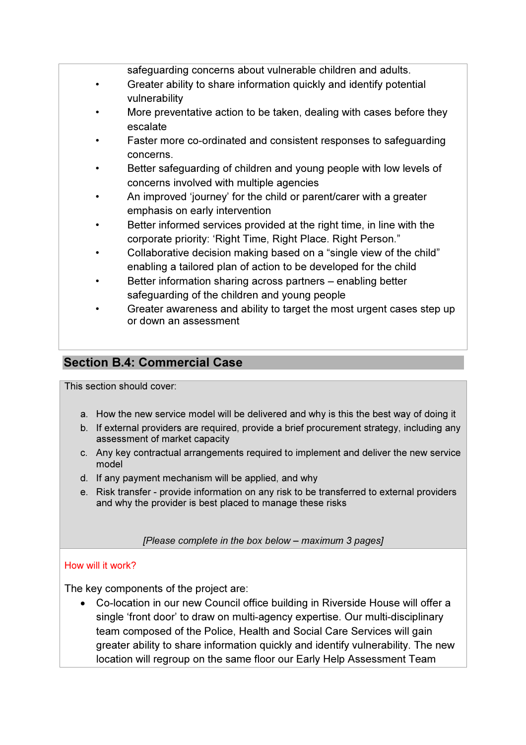safeguarding concerns about vulnerable children and adults.

- Greater ability to share information quickly and identify potential vulnerability
- More preventative action to be taken, dealing with cases before they escalate
- Faster more co-ordinated and consistent responses to safeguarding concerns.
- Better safeguarding of children and young people with low levels of concerns involved with multiple agencies
- An improved 'journey' for the child or parent/carer with a greater emphasis on early intervention
- Better informed services provided at the right time, in line with the corporate priority: 'Right Time, Right Place. Right Person."
- Collaborative decision making based on a "single view of the child" enabling a tailored plan of action to be developed for the child
- Better information sharing across partners enabling better safeguarding of the children and young people
- Greater awareness and ability to target the most urgent cases step up or down an assessment

## Section B.4: Commercial Case

This section should cover:

- a. How the new service model will be delivered and why is this the best way of doing it
- b. If external providers are required, provide a brief procurement strategy, including any assessment of market capacity
- c. Any key contractual arrangements required to implement and deliver the new service model
- d. If any payment mechanism will be applied, and why
- e. Risk transfer provide information on any risk to be transferred to external providers and why the provider is best placed to manage these risks

[Please complete in the box below – maximum 3 pages]

## How will it work?

The key components of the project are:

• Co-location in our new Council office building in Riverside House will offer a single 'front door' to draw on multi-agency expertise. Our multi-disciplinary team composed of the Police, Health and Social Care Services will gain greater ability to share information quickly and identify vulnerability. The new location will regroup on the same floor our Early Help Assessment Team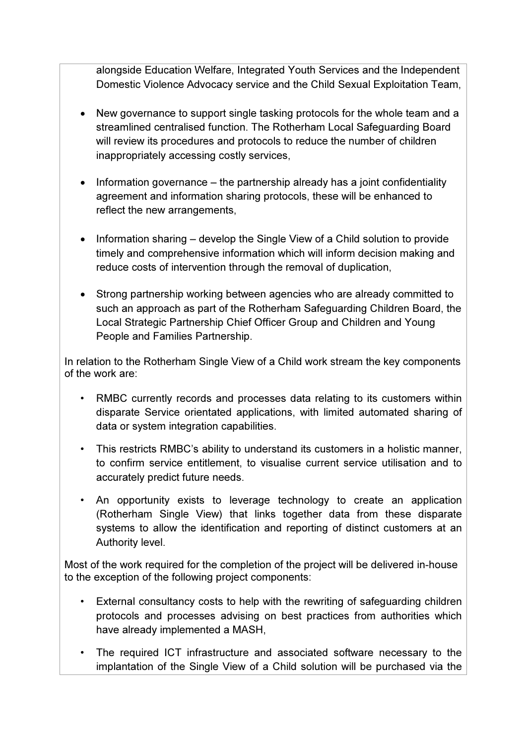alongside Education Welfare, Integrated Youth Services and the Independent Domestic Violence Advocacy service and the Child Sexual Exploitation Team,

- New governance to support single tasking protocols for the whole team and a streamlined centralised function. The Rotherham Local Safeguarding Board will review its procedures and protocols to reduce the number of children inappropriately accessing costly services,
- Information governance the partnership already has a joint confidentiality agreement and information sharing protocols, these will be enhanced to reflect the new arrangements,
- Information sharing develop the Single View of a Child solution to provide timely and comprehensive information which will inform decision making and reduce costs of intervention through the removal of duplication,
- Strong partnership working between agencies who are already committed to such an approach as part of the Rotherham Safeguarding Children Board, the Local Strategic Partnership Chief Officer Group and Children and Young People and Families Partnership.

In relation to the Rotherham Single View of a Child work stream the key components of the work are:

- RMBC currently records and processes data relating to its customers within disparate Service orientated applications, with limited automated sharing of data or system integration capabilities.
- This restricts RMBC's ability to understand its customers in a holistic manner, to confirm service entitlement, to visualise current service utilisation and to accurately predict future needs.
- An opportunity exists to leverage technology to create an application (Rotherham Single View) that links together data from these disparate systems to allow the identification and reporting of distinct customers at an Authority level.

Most of the work required for the completion of the project will be delivered in-house to the exception of the following project components:

- External consultancy costs to help with the rewriting of safeguarding children protocols and processes advising on best practices from authorities which have already implemented a MASH,
- The required ICT infrastructure and associated software necessary to the implantation of the Single View of a Child solution will be purchased via the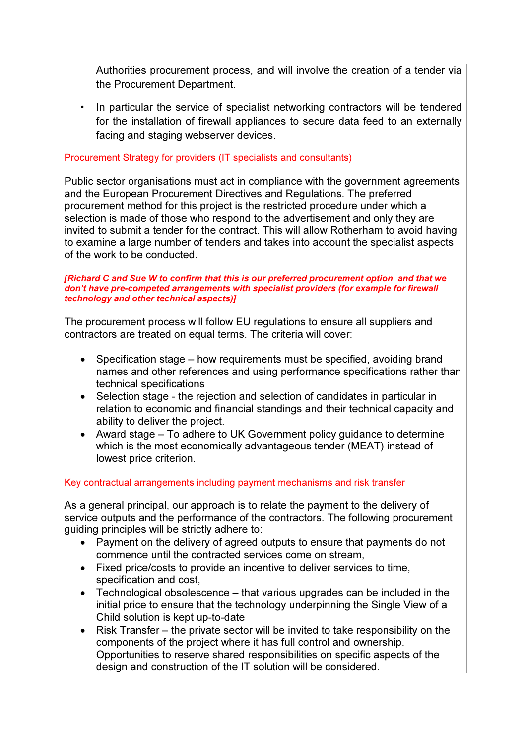Authorities procurement process, and will involve the creation of a tender via the Procurement Department.

• In particular the service of specialist networking contractors will be tendered for the installation of firewall appliances to secure data feed to an externally facing and staging webserver devices.

## Procurement Strategy for providers (IT specialists and consultants)

Public sector organisations must act in compliance with the government agreements and the European Procurement Directives and Regulations. The preferred procurement method for this project is the restricted procedure under which a selection is made of those who respond to the advertisement and only they are invited to submit a tender for the contract. This will allow Rotherham to avoid having to examine a large number of tenders and takes into account the specialist aspects of the work to be conducted.

#### [Richard C and Sue W to confirm that this is our preferred procurement option and that we don't have pre-competed arrangements with specialist providers (for example for firewall technology and other technical aspects)]

The procurement process will follow EU regulations to ensure all suppliers and contractors are treated on equal terms. The criteria will cover:

- Specification stage how requirements must be specified, avoiding brand names and other references and using performance specifications rather than technical specifications
- Selection stage the rejection and selection of candidates in particular in relation to economic and financial standings and their technical capacity and ability to deliver the project.
- Award stage To adhere to UK Government policy guidance to determine which is the most economically advantageous tender (MEAT) instead of lowest price criterion.

## Key contractual arrangements including payment mechanisms and risk transfer

As a general principal, our approach is to relate the payment to the delivery of service outputs and the performance of the contractors. The following procurement guiding principles will be strictly adhere to:

- Payment on the delivery of agreed outputs to ensure that payments do not commence until the contracted services come on stream,
- Fixed price/costs to provide an incentive to deliver services to time, specification and cost,
- Technological obsolescence that various upgrades can be included in the initial price to ensure that the technology underpinning the Single View of a Child solution is kept up-to-date
- Risk Transfer the private sector will be invited to take responsibility on the components of the project where it has full control and ownership. Opportunities to reserve shared responsibilities on specific aspects of the design and construction of the IT solution will be considered.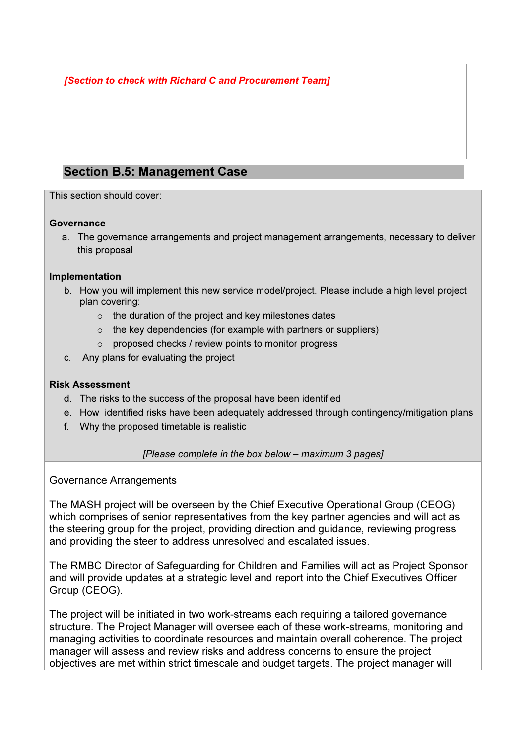[Section to check with Richard C and Procurement Team]

## Section B.5: Management Case

This section should cover:

### **Governance**

a. The governance arrangements and project management arrangements, necessary to deliver this proposal

## Implementation

- b. How you will implement this new service model/project. Please include a high level project plan covering:
	- o the duration of the project and key milestones dates
	- $\circ$  the key dependencies (for example with partners or suppliers)
	- o proposed checks / review points to monitor progress
- c. Any plans for evaluating the project

### Risk Assessment

- d. The risks to the success of the proposal have been identified
- e. How identified risks have been adequately addressed through contingency/mitigation plans
- f. Why the proposed timetable is realistic

### [Please complete in the box below – maximum 3 pages]

Governance Arrangements

The MASH project will be overseen by the Chief Executive Operational Group (CEOG) which comprises of senior representatives from the key partner agencies and will act as the steering group for the project, providing direction and guidance, reviewing progress and providing the steer to address unresolved and escalated issues.

The RMBC Director of Safeguarding for Children and Families will act as Project Sponsor and will provide updates at a strategic level and report into the Chief Executives Officer Group (CEOG).

The project will be initiated in two work-streams each requiring a tailored governance structure. The Project Manager will oversee each of these work-streams, monitoring and managing activities to coordinate resources and maintain overall coherence. The project manager will assess and review risks and address concerns to ensure the project objectives are met within strict timescale and budget targets. The project manager will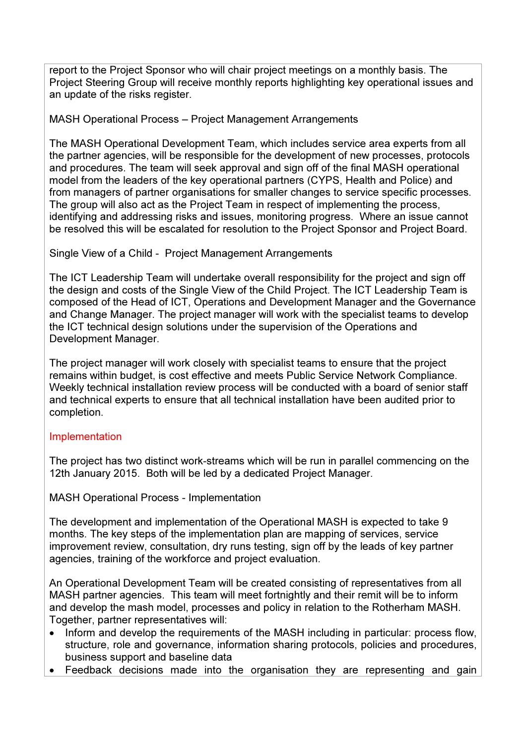report to the Project Sponsor who will chair project meetings on a monthly basis. The Project Steering Group will receive monthly reports highlighting key operational issues and an update of the risks register.

## MASH Operational Process – Project Management Arrangements

The MASH Operational Development Team, which includes service area experts from all the partner agencies, will be responsible for the development of new processes, protocols and procedures. The team will seek approval and sign off of the final MASH operational model from the leaders of the key operational partners (CYPS, Health and Police) and from managers of partner organisations for smaller changes to service specific processes. The group will also act as the Project Team in respect of implementing the process, identifying and addressing risks and issues, monitoring progress. Where an issue cannot be resolved this will be escalated for resolution to the Project Sponsor and Project Board.

Single View of a Child - Project Management Arrangements

The ICT Leadership Team will undertake overall responsibility for the project and sign off the design and costs of the Single View of the Child Project. The ICT Leadership Team is composed of the Head of ICT, Operations and Development Manager and the Governance and Change Manager. The project manager will work with the specialist teams to develop the ICT technical design solutions under the supervision of the Operations and Development Manager.

The project manager will work closely with specialist teams to ensure that the project remains within budget, is cost effective and meets Public Service Network Compliance. Weekly technical installation review process will be conducted with a board of senior staff and technical experts to ensure that all technical installation have been audited prior to completion.

## **Implementation**

The project has two distinct work-streams which will be run in parallel commencing on the 12th January 2015. Both will be led by a dedicated Project Manager.

MASH Operational Process - Implementation

The development and implementation of the Operational MASH is expected to take 9 months. The key steps of the implementation plan are mapping of services, service improvement review, consultation, dry runs testing, sign off by the leads of key partner agencies, training of the workforce and project evaluation.

An Operational Development Team will be created consisting of representatives from all MASH partner agencies. This team will meet fortnightly and their remit will be to inform and develop the mash model, processes and policy in relation to the Rotherham MASH. Together, partner representatives will:

- Inform and develop the requirements of the MASH including in particular: process flow, structure, role and governance, information sharing protocols, policies and procedures, business support and baseline data
- Feedback decisions made into the organisation they are representing and gain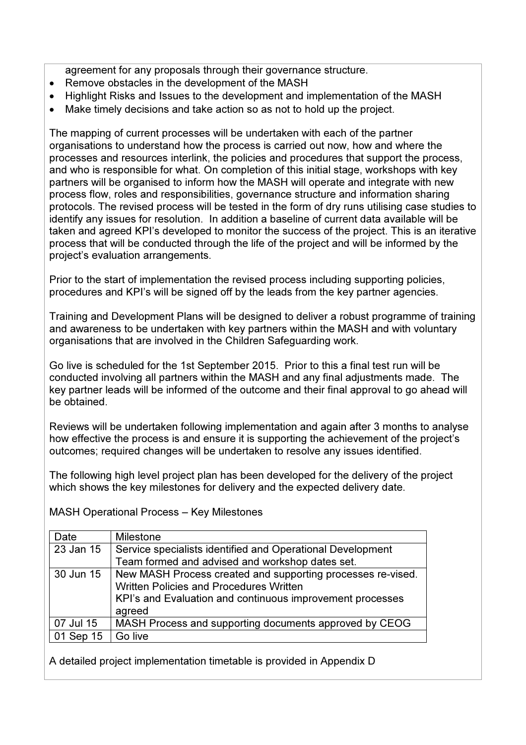agreement for any proposals through their governance structure.

- Remove obstacles in the development of the MASH
- Highlight Risks and Issues to the development and implementation of the MASH
- Make timely decisions and take action so as not to hold up the project.

The mapping of current processes will be undertaken with each of the partner organisations to understand how the process is carried out now, how and where the processes and resources interlink, the policies and procedures that support the process, and who is responsible for what. On completion of this initial stage, workshops with key partners will be organised to inform how the MASH will operate and integrate with new process flow, roles and responsibilities, governance structure and information sharing protocols. The revised process will be tested in the form of dry runs utilising case studies to identify any issues for resolution. In addition a baseline of current data available will be taken and agreed KPI's developed to monitor the success of the project. This is an iterative process that will be conducted through the life of the project and will be informed by the project's evaluation arrangements.

Prior to the start of implementation the revised process including supporting policies, procedures and KPI's will be signed off by the leads from the key partner agencies.

Training and Development Plans will be designed to deliver a robust programme of training and awareness to be undertaken with key partners within the MASH and with voluntary organisations that are involved in the Children Safeguarding work.

Go live is scheduled for the 1st September 2015. Prior to this a final test run will be conducted involving all partners within the MASH and any final adjustments made. The key partner leads will be informed of the outcome and their final approval to go ahead will be obtained.

Reviews will be undertaken following implementation and again after 3 months to analyse how effective the process is and ensure it is supporting the achievement of the project's outcomes; required changes will be undertaken to resolve any issues identified.

The following high level project plan has been developed for the delivery of the project which shows the key milestones for delivery and the expected delivery date.

MASH Operational Process – Key Milestones

| Date      | <b>Milestone</b>                                            |  |
|-----------|-------------------------------------------------------------|--|
| 23 Jan 15 | Service specialists identified and Operational Development  |  |
|           | Team formed and advised and workshop dates set.             |  |
| 30 Jun 15 | New MASH Process created and supporting processes re-vised. |  |
|           | <b>Written Policies and Procedures Written</b>              |  |
|           | KPI's and Evaluation and continuous improvement processes   |  |
|           | agreed                                                      |  |
| 07 Jul 15 | MASH Process and supporting documents approved by CEOG      |  |
| 01 Sep 15 | Go live                                                     |  |

A detailed project implementation timetable is provided in Appendix D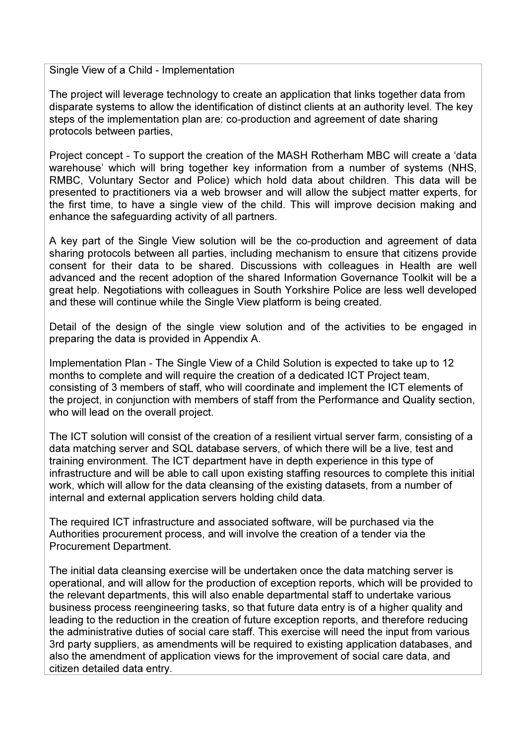Single View of a Child - Implementation

The project will leverage technology to create an application that links together data from disparate systems to allow the identification of distinct clients at an authority level. The key steps of the implementation plan are: co-production and agreement of date sharing protocols between parties,

Project concept - To support the creation of the MASH Rotherham MBC will create a 'data warehouse' which will bring together key information from a number of systems (NHS, RMBC, Voluntary Sector and Police) which hold data about children. This data will be presented to practitioners via a web browser and will allow the subject matter experts, for the first time, to have a single view of the child. This will improve decision making and enhance the safeguarding activity of all partners.

A key part of the Single View solution will be the co-production and agreement of data sharing protocols between all parties, including mechanism to ensure that citizens provide consent for their data to be shared. Discussions with colleagues in Health are well advanced and the recent adoption of the shared Information Governance Toolkit will be a great help. Negotiations with colleagues in South Yorkshire Police are less well developed and these will continue while the Single View platform is being created.

Detail of the design of the single view solution and of the activities to be engaged in preparing the data is provided in Appendix A.

Implementation Plan - The Single View of a Child Solution is expected to take up to 12 months to complete and will require the creation of a dedicated ICT Project team, consisting of 3 members of staff, who will coordinate and implement the ICT elements of the project, in conjunction with members of staff from the Performance and Quality section, who will lead on the overall project.

The ICT solution will consist of the creation of a resilient virtual server farm, consisting of a data matching server and SQL database servers, of which there will be a live, test and training environment. The ICT department have in depth experience in this type of infrastructure and will be able to call upon existing staffing resources to complete this initial work, which will allow for the data cleansing of the existing datasets, from a number of internal and external application servers holding child data.

The required ICT infrastructure and associated software, will be purchased via the Authorities procurement process, and will involve the creation of a tender via the Procurement Department.

The initial data cleansing exercise will be undertaken once the data matching server is operational, and will allow for the production of exception reports, which will be provided to the relevant departments, this will also enable departmental staff to undertake various business process reengineering tasks, so that future data entry is of a higher quality and leading to the reduction in the creation of future exception reports, and therefore reducing the administrative duties of social care staff. This exercise will need the input from various 3rd party suppliers, as amendments will be required to existing application databases, and also the amendment of application views for the improvement of social care data, and citizen detailed data entry.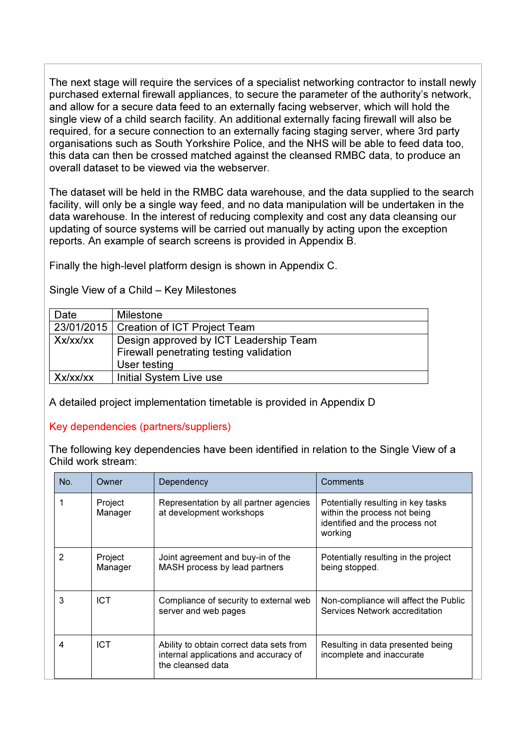The next stage will require the services of a specialist networking contractor to install newly purchased external firewall appliances, to secure the parameter of the authority's network, and allow for a secure data feed to an externally facing webserver, which will hold the single view of a child search facility. An additional externally facing firewall will also be required, for a secure connection to an externally facing staging server, where 3rd party organisations such as South Yorkshire Police, and the NHS will be able to feed data too, this data can then be crossed matched against the cleansed RMBC data, to produce an overall dataset to be viewed via the webserver.

The dataset will be held in the RMBC data warehouse, and the data supplied to the search facility, will only be a single way feed, and no data manipulation will be undertaken in the data warehouse. In the interest of reducing complexity and cost any data cleansing our updating of source systems will be carried out manually by acting upon the exception reports. An example of search screens is provided in Appendix B.

Finally the high-level platform design is shown in Appendix C.

| Date     | Milestone                                 |
|----------|-------------------------------------------|
|          | 23/01/2015   Creation of ICT Project Team |
| Xx/xx/xx | Design approved by ICT Leadership Team    |
|          | Firewall penetrating testing validation   |
|          | User testing                              |
| Xx/xx/xx | Initial System Live use                   |

Single View of a Child – Key Milestones

A detailed project implementation timetable is provided in Appendix D

## Key dependencies (partners/suppliers)

The following key dependencies have been identified in relation to the Single View of a Child work stream:

| No. | Owner              | Dependency                                                                                             | Comments                                                                                                        |
|-----|--------------------|--------------------------------------------------------------------------------------------------------|-----------------------------------------------------------------------------------------------------------------|
|     | Project<br>Manager | Representation by all partner agencies<br>at development workshops                                     | Potentially resulting in key tasks<br>within the process not being<br>identified and the process not<br>working |
| 2   | Project<br>Manager | Joint agreement and buy-in of the<br>MASH process by lead partners                                     | Potentially resulting in the project<br>being stopped.                                                          |
| 3   | <b>ICT</b>         | Compliance of security to external web<br>server and web pages                                         | Non-compliance will affect the Public<br>Services Network accreditation                                         |
| 4   | <b>ICT</b>         | Ability to obtain correct data sets from<br>internal applications and accuracy of<br>the cleansed data | Resulting in data presented being<br>incomplete and inaccurate                                                  |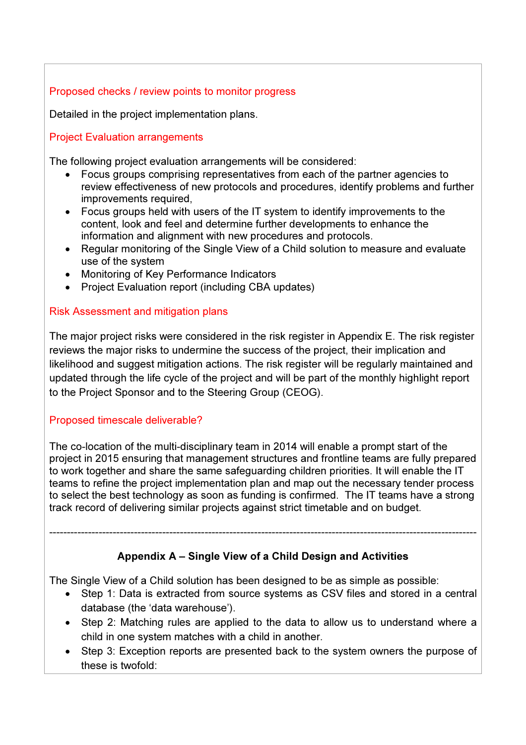## Proposed checks / review points to monitor progress

Detailed in the project implementation plans.

## Project Evaluation arrangements

The following project evaluation arrangements will be considered:

- Focus groups comprising representatives from each of the partner agencies to review effectiveness of new protocols and procedures, identify problems and further improvements required,
- Focus groups held with users of the IT system to identify improvements to the content, look and feel and determine further developments to enhance the information and alignment with new procedures and protocols.
- Regular monitoring of the Single View of a Child solution to measure and evaluate use of the system
- Monitoring of Key Performance Indicators
- Project Evaluation report (including CBA updates)

## Risk Assessment and mitigation plans

The major project risks were considered in the risk register in Appendix E. The risk register reviews the major risks to undermine the success of the project, their implication and likelihood and suggest mitigation actions. The risk register will be regularly maintained and updated through the life cycle of the project and will be part of the monthly highlight report to the Project Sponsor and to the Steering Group (CEOG).

## Proposed timescale deliverable?

The co-location of the multi-disciplinary team in 2014 will enable a prompt start of the project in 2015 ensuring that management structures and frontline teams are fully prepared to work together and share the same safeguarding children priorities. It will enable the IT teams to refine the project implementation plan and map out the necessary tender process to select the best technology as soon as funding is confirmed. The IT teams have a strong track record of delivering similar projects against strict timetable and on budget.

## Appendix A – Single View of a Child Design and Activities

-------------------------------------------------------------------------------------------------------------------------

The Single View of a Child solution has been designed to be as simple as possible:

- Step 1: Data is extracted from source systems as CSV files and stored in a central database (the 'data warehouse').
- Step 2: Matching rules are applied to the data to allow us to understand where a child in one system matches with a child in another.
- Step 3: Exception reports are presented back to the system owners the purpose of these is twofold: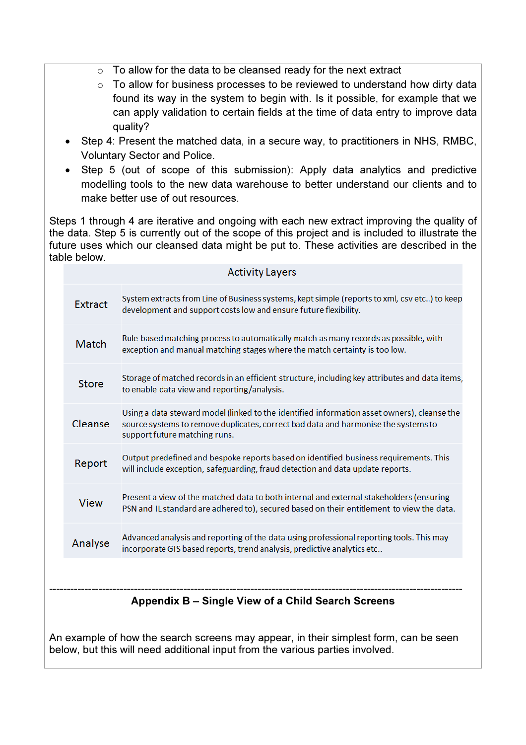- $\circ$  To allow for the data to be cleansed ready for the next extract
- $\circ$  To allow for business processes to be reviewed to understand how dirty data found its way in the system to begin with. Is it possible, for example that we can apply validation to certain fields at the time of data entry to improve data quality?
- Step 4: Present the matched data, in a secure way, to practitioners in NHS, RMBC, Voluntary Sector and Police.
- Step 5 (out of scope of this submission): Apply data analytics and predictive modelling tools to the new data warehouse to better understand our clients and to make better use of out resources.

Steps 1 through 4 are iterative and ongoing with each new extract improving the quality of the data. Step 5 is currently out of the scope of this project and is included to illustrate the future uses which our cleansed data might be put to. These activities are described in the table below.

| <b>Activity Layers</b> |                                                                                                                                                                                                                    |  |  |  |
|------------------------|--------------------------------------------------------------------------------------------------------------------------------------------------------------------------------------------------------------------|--|--|--|
| <b>Extract</b>         | System extracts from Line of Business systems, kept simple (reports to xml, csv etc) to keep<br>development and support costs low and ensure future flexibility.                                                   |  |  |  |
| Match                  | Rule based matching process to automatically match as many records as possible, with<br>exception and manual matching stages where the match certainty is too low.                                                 |  |  |  |
| <b>Store</b>           | Storage of matched records in an efficient structure, including key attributes and data items,<br>to enable data view and reporting/analysis.                                                                      |  |  |  |
| Cleanse                | Using a data steward model (linked to the identified information asset owners), cleanse the<br>source systems to remove duplicates, correct bad data and harmonise the systems to<br>support future matching runs. |  |  |  |
| Report                 | Output predefined and bespoke reports based on identified business requirements. This<br>will include exception, safeguarding, fraud detection and data update reports.                                            |  |  |  |
| <b>View</b>            | Present a view of the matched data to both internal and external stakeholders (ensuring<br>PSN and IL standard are adhered to), secured based on their entitlement to view the data.                               |  |  |  |
| Analyse                | Advanced analysis and reporting of the data using professional reporting tools. This may<br>incorporate GIS based reports, trend analysis, predictive analytics etc                                                |  |  |  |
|                        |                                                                                                                                                                                                                    |  |  |  |
|                        | Appendix B – Single View of a Child Search Screens                                                                                                                                                                 |  |  |  |

An example of how the search screens may appear, in their simplest form, can be seen below, but this will need additional input from the various parties involved.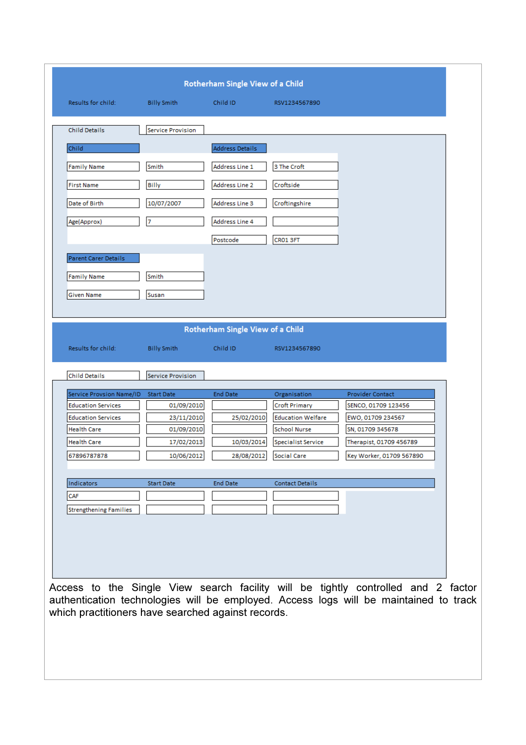| Results for child:                                                                  | <b>Billy Smith</b>       | Child ID                         | RSV1234567890             |                                                                                       |
|-------------------------------------------------------------------------------------|--------------------------|----------------------------------|---------------------------|---------------------------------------------------------------------------------------|
|                                                                                     |                          |                                  |                           |                                                                                       |
| <b>Child Details</b>                                                                | <b>Service Provision</b> |                                  |                           |                                                                                       |
| Child                                                                               |                          | Address Details                  |                           |                                                                                       |
|                                                                                     |                          |                                  |                           |                                                                                       |
| <b>Family Name</b>                                                                  | Smith                    | Address Line 1                   | 3 The Croft               |                                                                                       |
| <b>First Name</b>                                                                   | <b>Billy</b>             | Address Line 2                   | Croftside                 |                                                                                       |
| Date of Birth                                                                       | 10/07/2007               | Address Line 3                   | Croftingshire             |                                                                                       |
| Age(Approx)                                                                         | 7                        | Address Line 4                   |                           |                                                                                       |
|                                                                                     |                          |                                  |                           |                                                                                       |
|                                                                                     |                          | Postcode                         | CRO1 3FT                  |                                                                                       |
| Parent Carer Details                                                                |                          |                                  |                           |                                                                                       |
| Family Name                                                                         | Smith                    |                                  |                           |                                                                                       |
| Given Name                                                                          | Susan                    |                                  |                           |                                                                                       |
|                                                                                     |                          |                                  |                           |                                                                                       |
|                                                                                     |                          |                                  |                           |                                                                                       |
|                                                                                     |                          | Rotherham Single View of a Child |                           |                                                                                       |
| Results for child:                                                                  | <b>Billy Smith</b>       | Child ID                         | RSV1234567890             |                                                                                       |
|                                                                                     |                          |                                  |                           |                                                                                       |
| <b>Child Details</b>                                                                | <b>Service Provision</b> |                                  |                           |                                                                                       |
| Service Provsion Name/ID                                                            | <b>Start Date</b>        | End Date                         | Organisation              | Provider Contact                                                                      |
| <b>Education Services</b>                                                           | 01/09/2010               |                                  | <b>Croft Primary</b>      | SENCO, 01709 123456                                                                   |
| <b>Education Services</b>                                                           | 23/11/2010               | 25/02/2010                       | <b>Education Welfare</b>  | EWO, 01709 234567                                                                     |
| Health Care                                                                         | 01/09/2010               |                                  | <b>School Nurse</b>       | SN, 01709 345678                                                                      |
| Health Care                                                                         | 17/02/2013               | 10/03/2014                       | <b>Specialist Service</b> | Therapist, 01709 456789                                                               |
| 67896787878                                                                         | 10/06/2012               | 28/08/2012                       | <b>Social Care</b>        | Key Worker, 01709 567890                                                              |
|                                                                                     |                          |                                  |                           |                                                                                       |
|                                                                                     |                          |                                  |                           |                                                                                       |
| Indicators                                                                          | <b>Start Date</b>        | <b>End Date</b>                  | <b>Contact Details</b>    |                                                                                       |
| CAF                                                                                 |                          |                                  |                           |                                                                                       |
|                                                                                     |                          |                                  |                           |                                                                                       |
|                                                                                     |                          |                                  |                           |                                                                                       |
|                                                                                     |                          |                                  |                           |                                                                                       |
|                                                                                     |                          |                                  |                           |                                                                                       |
|                                                                                     |                          |                                  |                           |                                                                                       |
|                                                                                     |                          |                                  |                           |                                                                                       |
|                                                                                     |                          |                                  |                           | Access to the Single View search facility will be tightly controlled and 2 factor     |
|                                                                                     |                          |                                  |                           | authentication technologies will be employed. Access logs will be maintained to track |
| <b>Strengthening Families</b><br>which practitioners have searched against records. |                          |                                  |                           |                                                                                       |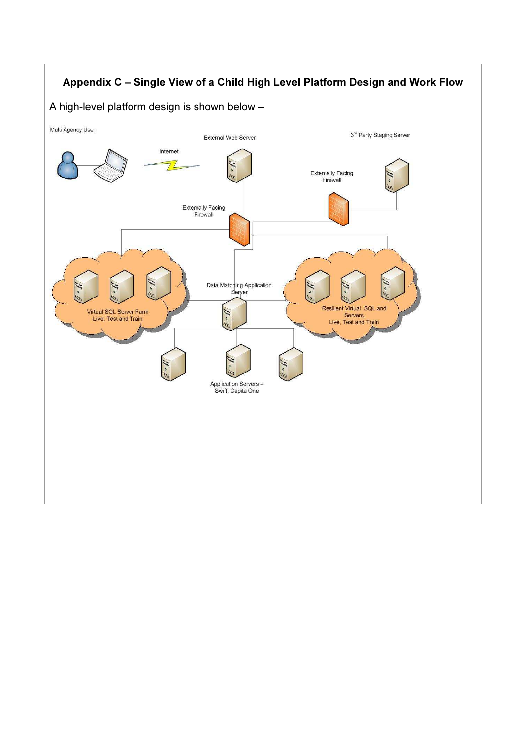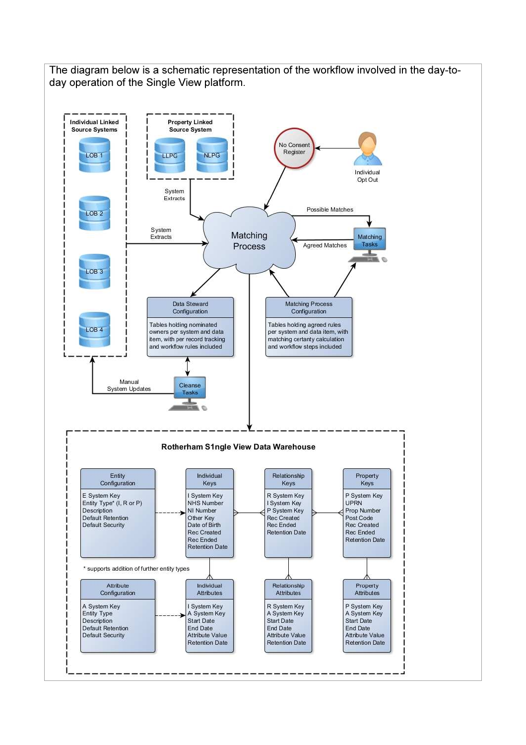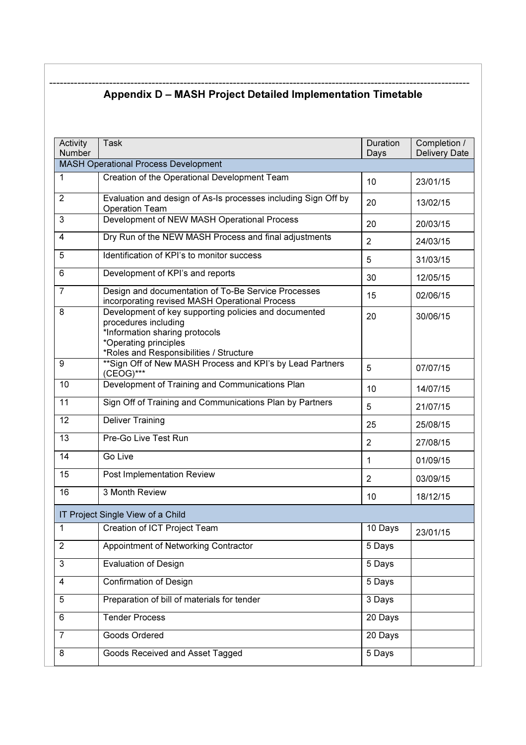#### ----------------------------------------------------------------------------------------------------------------------- Appendix D – MASH Project Detailed Implementation Timetable

| Activity<br>Number                          | Task                                                                                                                                                                                | Duration<br>Days | Completion /<br><b>Delivery Date</b> |  |  |
|---------------------------------------------|-------------------------------------------------------------------------------------------------------------------------------------------------------------------------------------|------------------|--------------------------------------|--|--|
| <b>MASH Operational Process Development</b> |                                                                                                                                                                                     |                  |                                      |  |  |
| $\mathbf{1}$                                | Creation of the Operational Development Team                                                                                                                                        | 10               | 23/01/15                             |  |  |
| $\overline{2}$                              | Evaluation and design of As-Is processes including Sign Off by<br><b>Operation Team</b>                                                                                             |                  | 13/02/15                             |  |  |
| 3                                           | Development of NEW MASH Operational Process                                                                                                                                         | 20               | 20/03/15                             |  |  |
| 4                                           | Dry Run of the NEW MASH Process and final adjustments                                                                                                                               | $\overline{2}$   | 24/03/15                             |  |  |
| 5                                           | Identification of KPI's to monitor success                                                                                                                                          | 5                | 31/03/15                             |  |  |
| 6                                           | Development of KPI's and reports                                                                                                                                                    | 30               | 12/05/15                             |  |  |
| $\overline{7}$                              | Design and documentation of To-Be Service Processes<br>incorporating revised MASH Operational Process                                                                               | 15               | 02/06/15                             |  |  |
| 8                                           | Development of key supporting policies and documented<br>procedures including<br>*Information sharing protocols<br>*Operating principles<br>*Roles and Responsibilities / Structure | 20               | 30/06/15                             |  |  |
| 9                                           | ** Sign Off of New MASH Process and KPI's by Lead Partners<br>(CEOG)***                                                                                                             | 5                | 07/07/15                             |  |  |
| 10                                          | Development of Training and Communications Plan                                                                                                                                     | 10               | 14/07/15                             |  |  |
| 11                                          | Sign Off of Training and Communications Plan by Partners                                                                                                                            | 5                | 21/07/15                             |  |  |
| 12                                          | <b>Deliver Training</b>                                                                                                                                                             | 25               | 25/08/15                             |  |  |
| 13                                          | Pre-Go Live Test Run                                                                                                                                                                | $\overline{2}$   | 27/08/15                             |  |  |
| 14                                          | Go Live                                                                                                                                                                             | 1                | 01/09/15                             |  |  |
| 15                                          | Post Implementation Review                                                                                                                                                          | 2                | 03/09/15                             |  |  |
| 16                                          | 3 Month Review                                                                                                                                                                      | 10               | 18/12/15                             |  |  |
|                                             | IT Project Single View of a Child                                                                                                                                                   |                  |                                      |  |  |
| 1                                           | Creation of ICT Project Team                                                                                                                                                        | 10 Days          | 23/01/15                             |  |  |
| $\overline{2}$                              | Appointment of Networking Contractor                                                                                                                                                | 5 Days           |                                      |  |  |
| 3                                           | <b>Evaluation of Design</b>                                                                                                                                                         | 5 Days           |                                      |  |  |
| $\overline{\mathbf{4}}$                     | <b>Confirmation of Design</b>                                                                                                                                                       | 5 Days           |                                      |  |  |
| 5                                           | Preparation of bill of materials for tender                                                                                                                                         | 3 Days           |                                      |  |  |
| 6                                           | <b>Tender Process</b>                                                                                                                                                               | 20 Days          |                                      |  |  |
| $\overline{7}$                              | Goods Ordered                                                                                                                                                                       | 20 Days          |                                      |  |  |
| 8                                           | Goods Received and Asset Tagged                                                                                                                                                     | 5 Days           |                                      |  |  |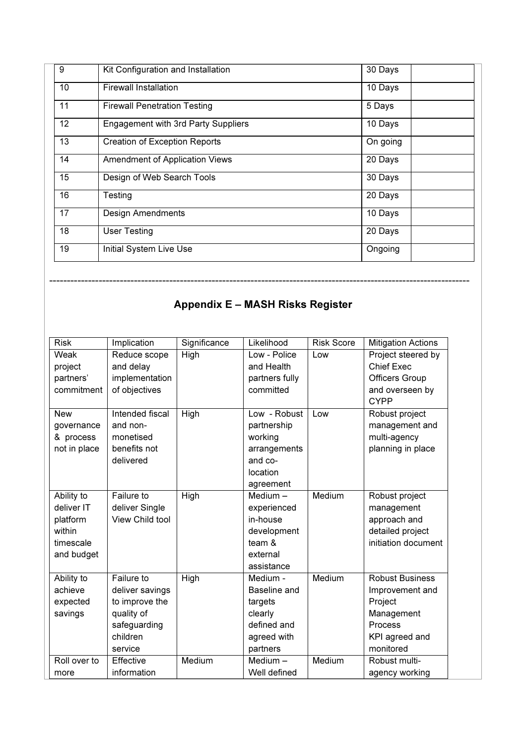| 9  | Kit Configuration and Installation   | 30 Days  |
|----|--------------------------------------|----------|
| 10 | <b>Firewall Installation</b>         | 10 Days  |
| 11 | <b>Firewall Penetration Testing</b>  | 5 Days   |
| 12 | Engagement with 3rd Party Suppliers  | 10 Days  |
| 13 | <b>Creation of Exception Reports</b> | On going |
| 14 | Amendment of Application Views       | 20 Days  |
| 15 | Design of Web Search Tools           | 30 Days  |
| 16 | Testing                              | 20 Days  |
| 17 | <b>Design Amendments</b>             | 10 Days  |
| 18 | <b>User Testing</b>                  | 20 Days  |
| 19 | Initial System Live Use              | Ongoing  |

## Appendix E – MASH Risks Register

-----------------------------------------------------------------------------------------------------------------------

| <b>Risk</b>  | Implication     | Significance | Likelihood     | <b>Risk Score</b> | <b>Mitigation Actions</b> |
|--------------|-----------------|--------------|----------------|-------------------|---------------------------|
| Weak         | Reduce scope    | High         | Low - Police   | Low               | Project steered by        |
| project      | and delay       |              | and Health     |                   | <b>Chief Exec</b>         |
| partners'    | implementation  |              | partners fully |                   | <b>Officers Group</b>     |
| commitment   | of objectives   |              | committed      |                   | and overseen by           |
|              |                 |              |                |                   | <b>CYPP</b>               |
| <b>New</b>   | Intended fiscal | High         | Low - Robust   | Low               | Robust project            |
| governance   | and non-        |              | partnership    |                   | management and            |
| & process    | monetised       |              | working        |                   | multi-agency              |
| not in place | benefits not    |              | arrangements   |                   | planning in place         |
|              | delivered       |              | and co-        |                   |                           |
|              |                 |              | location       |                   |                           |
|              |                 |              | agreement      |                   |                           |
| Ability to   | Failure to      | High         | Medium $-$     | Medium            | Robust project            |
| deliver IT   | deliver Single  |              | experienced    |                   | management                |
| platform     | View Child tool |              | in-house       |                   | approach and              |
| within       |                 |              | development    |                   | detailed project          |
| timescale    |                 |              | team $\&$      |                   | initiation document       |
| and budget   |                 |              | external       |                   |                           |
|              |                 |              | assistance     |                   |                           |
| Ability to   | Failure to      | High         | Medium -       | Medium            | <b>Robust Business</b>    |
| achieve      | deliver savings |              | Baseline and   |                   | Improvement and           |
| expected     | to improve the  |              | targets        |                   | Project                   |
| savings      | quality of      |              | clearly        |                   | Management                |
|              | safeguarding    |              | defined and    |                   | Process                   |
|              | children        |              | agreed with    |                   | KPI agreed and            |
|              | service         |              | partners       |                   | monitored                 |
| Roll over to | Effective       | Medium       | Medium $-$     | Medium            | Robust multi-             |
| more         | information     |              | Well defined   |                   | agency working            |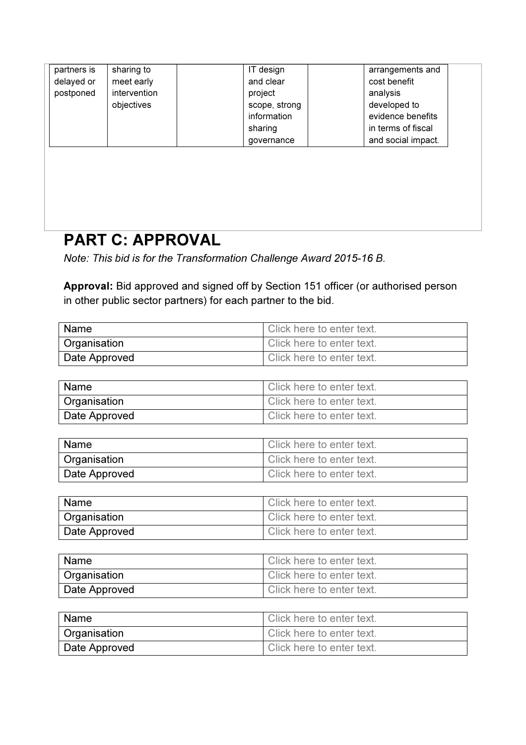| partners is | sharing to   | IT design     | arrangements and   |
|-------------|--------------|---------------|--------------------|
| delayed or  | meet early   | and clear     | cost benefit       |
| postponed   | intervention | project       | analysis           |
|             | objectives   | scope, strong | developed to       |
|             |              | information   | evidence benefits  |
|             |              | sharing       | in terms of fiscal |
|             |              | governance    | and social impact. |
|             |              |               |                    |
|             |              |               |                    |
|             |              |               |                    |
|             |              |               |                    |
|             |              |               |                    |
|             |              |               |                    |
|             |              |               |                    |

## PART C: APPROVAL

Note: This bid is for the Transformation Challenge Award 2015-16 B.

Approval: Bid approved and signed off by Section 151 officer (or authorised person in other public sector partners) for each partner to the bid.

| <b>Name</b>   | Click here to enter text. |
|---------------|---------------------------|
| Organisation  | Click here to enter text. |
| Date Approved | Click here to enter text. |

| <b>Name</b>         | Click here to enter text. |
|---------------------|---------------------------|
| <b>Organisation</b> | Click here to enter text. |
| Date Approved       | Click here to enter text. |

| l Name        | Click here to enter text. |
|---------------|---------------------------|
| Organisation  | Click here to enter text. |
| Date Approved | Click here to enter text. |

| Name          | Click here to enter text. |
|---------------|---------------------------|
| Organisation  | Click here to enter text. |
| Date Approved | Click here to enter text. |

| Name          | Click here to enter text. |
|---------------|---------------------------|
| Organisation  | Click here to enter text. |
| Date Approved | Click here to enter text. |

| Name                | Click here to enter text. |
|---------------------|---------------------------|
| <b>Organisation</b> | Click here to enter text. |
| Date Approved       | Click here to enter text. |